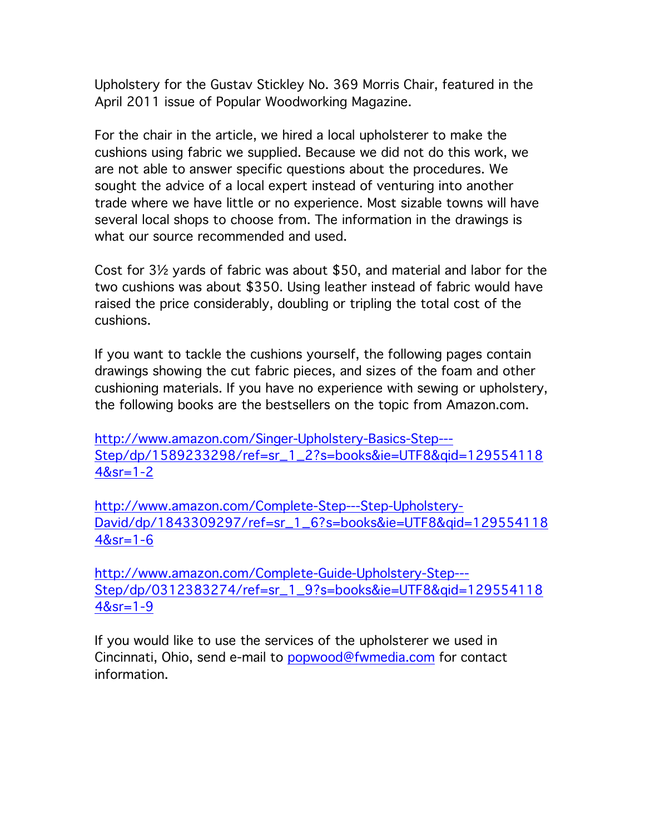Upholstery for the Gustav Stickley No. 369 Morris Chair, featured in the April 2011 issue of Popular Woodworking Magazine.

For the chair in the article, we hired a local upholsterer to make the cushions using fabric we supplied. Because we did not do this work, we are not able to answer specific questions about the procedures. We sought the advice of a local expert instead of venturing into another trade where we have little or no experience. Most sizable towns will have several local shops to choose from. The information in the drawings is what our source recommended and used.

Cost for 3½ yards of fabric was about \$50, and material and labor for the two cushions was about \$350. Using leather instead of fabric would have raised the price considerably, doubling or tripling the total cost of the cushions.

If you want to tackle the cushions yourself, the following pages contain drawings showing the cut fabric pieces, and sizes of the foam and other cushioning materials. If you have no experience with sewing or upholstery, the following books are the bestsellers on the topic from Amazon.com.

http://www.amazon.com/Singer-Upholstery-Basics-Step--- Step/dp/1589233298/ref=sr\_1\_2?s=books&ie=UTF8&qid=129554118 4&sr=1-2

http://www.amazon.com/Complete-Step---Step-Upholstery-David/dp/1843309297/ref=sr\_1\_6?s=books&ie=UTF8&qid=129554118 4&sr=1-6

http://www.amazon.com/Complete-Guide-Upholstery-Step--- Step/dp/0312383274/ref=sr\_1\_9?s=books&ie=UTF8&qid=129554118 4&sr=1-9

If you would like to use the services of the upholsterer we used in Cincinnati, Ohio, send e-mail to popwood@fwmedia.com for contact information.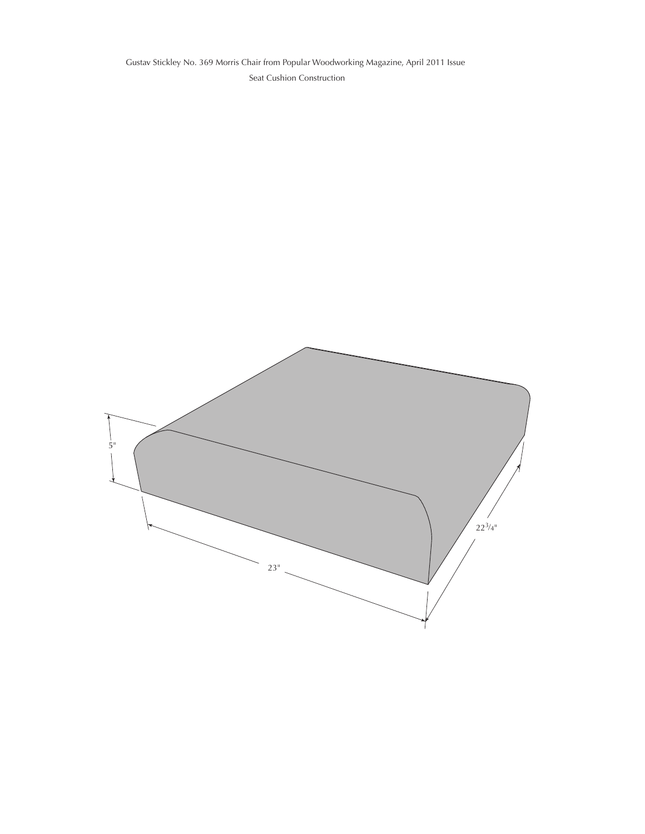Seat Cushion Construction Gustav Stickley No. 369 Morris Chair from Popular Woodworking Magazine, April 2011 Issue

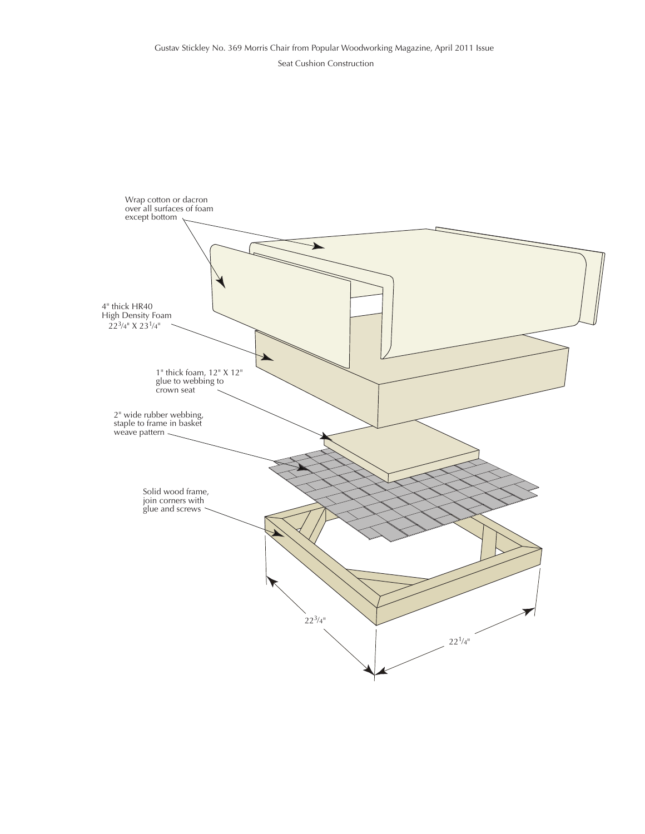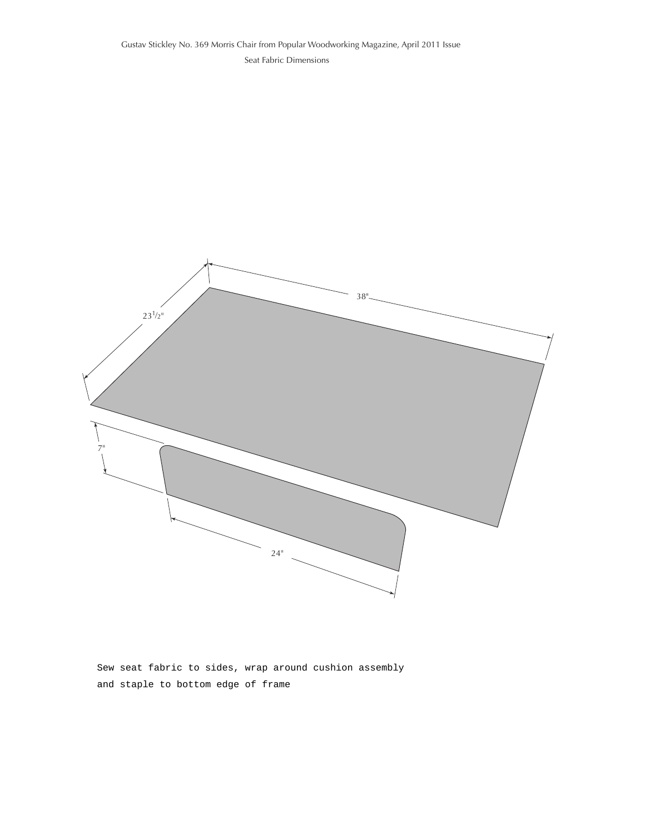

Sew seat fabric to sides, wrap around cushion assembly and staple to bottom edge of frame